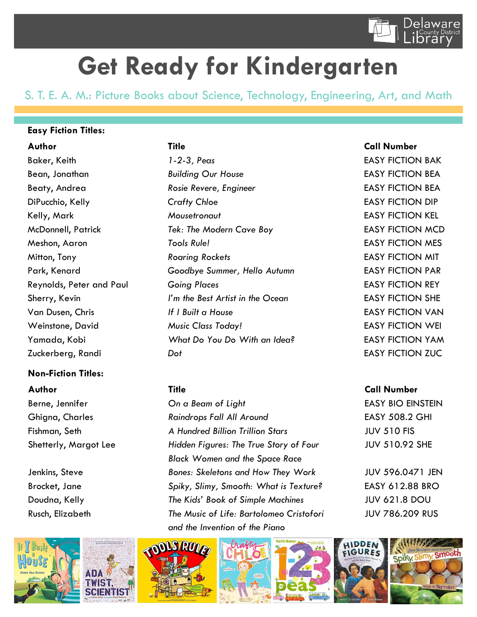

# **Get Ready for Kindergarten**

S. T. E. A. M.: Picture Books about Science, Technology, Engineering, Art, and Math

### **Easy Fiction Titles:**

## **Non-Fiction Titles:**



Baker, Keith **1-2-3, Peas EASY FICTION BAK** Bean, Jonathan *Building Our House* EASY FICTION BEA Beaty, Andrea *Rosie Revere, Engineer* FREE ASY FICTION BEA DiPucchio, Kelly *Crafty Chloe* EASY FICTION DIP Kelly, Mark *Mousetronaut* EASY FICTION KEL McDonnell, Patrick *Tek: The Modern Cave Boy* EASY FICTION MCD Meshon, Aaron *Tools Rule!* EASY FICTION MES Mitton, Tony *Roaring Rockets* EASY FICTION MIT Park, Kenard *Goodbye Summer, Hello Autumn* EASY FICTION PAR Reynolds, Peter and Paul *Going Places* EASY FICTION REY Sherry, Kevin *I'm the Best Artist in the Ocean* EASY FICTION SHE Van Dusen, Chris *If I Built a House* EASY FICTION VAN Weinstone, David *Music Class Today!* EASY FICTION WEI Yamada, Kobi *What Do You Do With an Idea?* EASY FICTION YAM Zuckerberg, Randi *Dot* EASY FICTION ZUC

Berne, Jennifer *On a Beam of Light* EASY BIO EINSTEIN Ghigna, Charles *Raindrops Fall All Around* EASY 508.2 GHI Fishman, Seth *A Hundred Billion Trillion Stars* JUV 510 FIS Shetterly, Margot Lee *Hidden Figures: The True Story of Four* JUV 510.92 SHE *Black Women and the Space Race*  Jenkins, Steve *Bones: Skeletons and How They Work* JUV 596.0471 JEN Brocket, Jane *Spiky, Slimy, Smooth: What is Texture?* EASY 612.88 BRO Doudna, Kelly *The Kids' Book of Simple Machines* JUV 621.8 DOU Rusch, Elizabeth *The Music of Life: Bartolomeo Cristofori* JUV 786.209 RUS *and the Invention of the Piano*











#### **Author Title Call Number**

#### **Author Title Call Number**